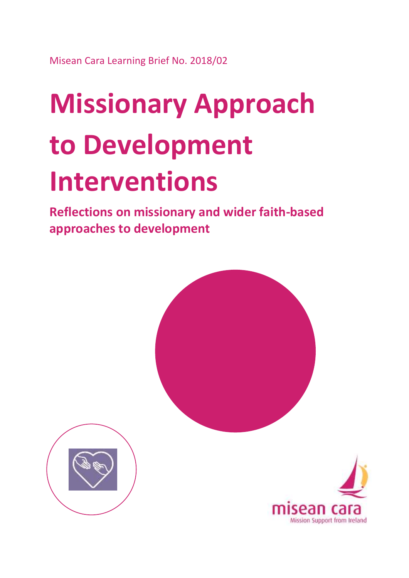Misean Cara Learning Brief No. 2018/02

# **Missionary Approach to Development Interventions**

**Reflections on missionary and wider faith-based approaches to development**





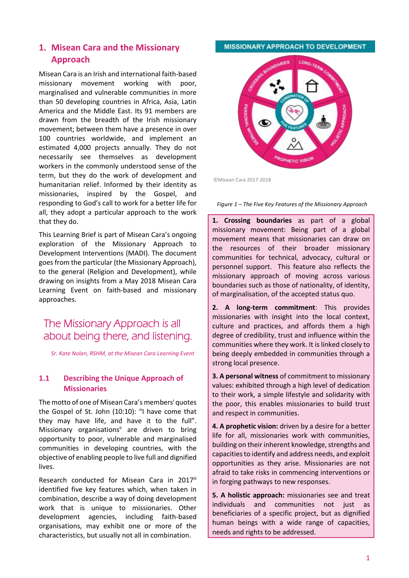#### **1. Misean Cara and the Missionary Approach**

Misean Cara is an Irish and international faith-based missionary movement working with poor, marginalised and vulnerable communities in more than 50 developing countries in Africa, Asia, Latin America and the Middle East. Its 91 members are drawn from the breadth of the Irish missionary movement; between them have a presence in over 100 countries worldwide, and implement an estimated 4,000 projects annually. They do not necessarily see themselves as development workers in the commonly understood sense of the term, but they do the work of development and humanitarian relief. Informed by their identity as missionaries, inspired by the Gospel, and responding to God's call to work for a better life for all, they adopt a particular approach to the work that they do.

This Learning Brief is part of Misean Cara's ongoing exploration of the Missionary Approach to Development Interventions (MADI). The document goes from the particular (the Missionary Approach), to the general (Religion and Development), while drawing on insights from a May 2018 Misean Cara Learning Event on faith-based and missionary approaches.

## The Missionary Approach is all about being there, and listening.

*Sr. Kate Nolan, RSHM, at the Misean Cara Learning Event*

#### **1.1 Describing the Unique Approach of Missionaries**

The motto of one of Misean Cara's members<sup>i</sup> quotes the Gospel of St. John (10:10): "I have come that they may have life, and have it to the full". Missionary organisations<sup>ii</sup> are driven to bring opportunity to poor, vulnerable and marginalised communities in developing countries, with the objective of enabling people to live full and dignified lives.

Research conducted for Misean Cara in 2017iii identified five key features which, when taken in combination, describe a way of doing development work that is unique to missionaries. Other development agencies, including faith-based organisations, may exhibit one or more of the characteristics, but usually not all in combination.

#### MISSIONARY APPROACH TO DEVELOPMENT



©Misean Cara 2017-2018

*Figure 1 – The Five Key Features of the Missionary Approach*

**1. Crossing boundaries** as part of a global missionary movement: Being part of a global movement means that missionaries can draw on the resources of their broader missionary communities for technical, advocacy, cultural or personnel support. This feature also reflects the missionary approach of moving across various boundaries such as those of nationality, of identity, of marginalisation, of the accepted status quo.

**2. A long-term commitment**: This provides missionaries with insight into the local context, culture and practices, and affords them a high degree of credibility, trust and influence within the communities where they work. It is linked closely to being deeply embedded in communities through a strong local presence.

**3. A personal witness** of commitment to missionary values: exhibited through a high level of dedication to their work, a simple lifestyle and solidarity with the poor, this enables missionaries to build trust and respect in communities.

**4. A prophetic vision:** driven by a desire for a better life for all, missionaries work with communities, building on their inherent knowledge, strengths and capacities to identify and address needs, and exploit opportunities as they arise. Missionaries are not afraid to take risks in commencing interventions or in forging pathways to new responses.

**5. A holistic approach:** missionaries see and treat individuals and communities not just as beneficiaries of a specific project, but as dignified human beings with a wide range of capacities, needs and rights to be addressed.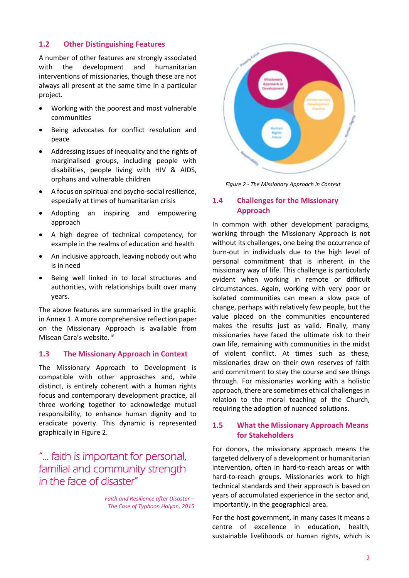#### **1.2 Other Distinguishing Features**

A number of other features are strongly associated with the development and humanitarian interventions of missionaries, though these are not always all present at the same time in a particular project.

- Working with the poorest and most vulnerable communities
- Being advocates for conflict resolution and peace
- Addressing issues of inequality and the rights of marginalised groups, including people with disabilities, people living with HIV & AIDS, orphans and vulnerable children
- A focus on spiritual and psycho-social resilience, especially at times of humanitarian crisis
- Adopting an inspiring and empowering approach
- A high degree of technical competency, for example in the realms of education and health
- An inclusive approach, leaving nobody out who is in need
- Being well linked in to local structures and authorities, with relationships built over many years.

The above features are summarised in the graphic in Annex 1. A more comprehensive reflection paper on the Missionary Approach is available from Misean Cara's website. iv

#### **1.3 The Missionary Approach in Context**

The Missionary Approach to Development is compatible with other approaches and, while distinct, is entirely coherent with a human rights focus and contemporary development practice, all three working together to acknowledge mutual responsibility, to enhance human dignity and to eradicate poverty. This dynamic is represented graphically in Figure 2.

## "… faith is important for personal, familial and community strength in the face of disaster"

*Faith and Resilience after Disaster – The Case of Typhoon Haiyan, 2015*



*Figure 2 - The Missionary Approach in Context*

#### **1.4 Challenges for the Missionary Approach**

In common with other development paradigms, working through the Missionary Approach is not without its challenges, one being the occurrence of burn-out in individuals due to the high level of personal commitment that is inherent in the missionary way of life. This challenge is particularly evident when working in remote or difficult circumstances. Again, working with very poor or isolated communities can mean a slow pace of change, perhaps with relatively few people, but the value placed on the communities encountered makes the results just as valid. Finally, many missionaries have faced the ultimate risk to their own life, remaining with communities in the midst of violent conflict. At times such as these, missionaries draw on their own reserves of faith and commitment to stay the course and see things through. For missionaries working with a holistic approach, there are sometimes ethical challenges in relation to the moral teaching of the Church, requiring the adoption of nuanced solutions.

#### **1.5 What the Missionary Approach Means for Stakeholders**

For donors, the missionary approach means the targeted delivery of a development or humanitarian intervention, often in hard-to-reach areas or with hard-to-reach groups. Missionaries work to high technical standards and their approach is based on years of accumulated experience in the sector and, importantly, in the geographical area.

For the host government, in many cases it means a centre of excellence in education, health, sustainable livelihoods or human rights, which is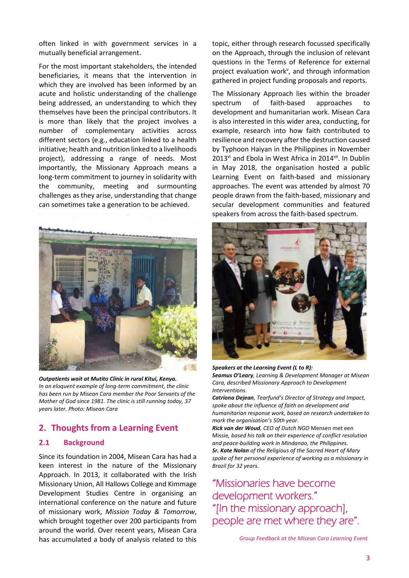often linked in with government services in a mutually beneficial arrangement.

For the most important stakeholders, the intended beneficiaries, it means that the intervention in which they are involved has been informed by an acute and holistic understanding of the challenge being addressed, an understanding to which they themselves have been the principal contributors. It is more than likely that the project involves a number of complementary activities across different sectors (e.g., education linked to a health initiative; health and nutrition linked to a livelihoods project), addressing a range of needs. Most importantly, the Missionary Approach means a long-term commitment to journey in solidarity with the community, meeting and surmounting challenges as they arise, understanding that change can sometimes take a generation to be achieved.



*Outpatients wait at Mutito Clinic in rural Kitui, Kenya. In an eloquent example of long-term commitment, the clinic has been run by Misean Cara member the Poor Servants of the Mother of God since 1981. The clinic is still running today, 37 years later. Photo: Misean Cara*

### **2. Thoughts from a Learning Event**

#### **2.1 Background**

Since its foundation in 2004, Misean Cara has had a keen interest in the nature of the Missionary Approach. In 2013, it collaborated with the Irish Missionary Union, All Hallows College and Kimmage Development Studies Centre in organising an international conference on the nature and future of missionary work, *Mission Today & Tomorrow*, which brought together over 200 participants from around the world. Over recent years, Misean Cara has accumulated a body of analysis related to this

topic, either through research focussed specifically on the Approach, through the inclusion of relevant questions in the Terms of Reference for external project evaluation work<sup>v</sup>, and through information gathered in project funding proposals and reports.

The Missionary Approach lies within the broader spectrum of faith-based approaches to development and humanitarian work. Misean Cara is also interested in this wider area, conducting, for example, research into how faith contributed to resilience and recovery after the destruction caused by Typhoon Haiyan in the Philippines in November  $2013<sup>vi</sup>$  and Ebola in West Africa in  $2014<sup>vi</sup>$ . In Dublin in May 2018, the organisation hosted a public Learning Event on faith-based and missionary approaches. The event was attended by almost 70 people drawn from the faith-based, missionary and secular development communities and featured speakers from across the faith-based spectrum.



#### *Speakers at the Learning Event (L to R):*

*Seamus O'Leary, Learning & Development Manager at Misean Cara, described Missionary Approach to Development Interventions.*

*Catriona Dejean, Tearfund's Director of Strategy and Impact, spoke about the influence of faith on development and humanitarian response work, based on research undertaken to mark the organisation's 50th year.*

*Rick van der Woud, CEO of Dutch NGO* Mensen met een Missie*, based his talk on their experience of conflict resolution and peace-building work in Mindanao, the Philippines. Sr. Kate Nolan of the Religious of the Sacred Heart of Mary spoke of her personal experience of working as a missionary in Brazil for 32 years.*

"Missionaries have become development workers." "[In the missionary approach], people are met where they are".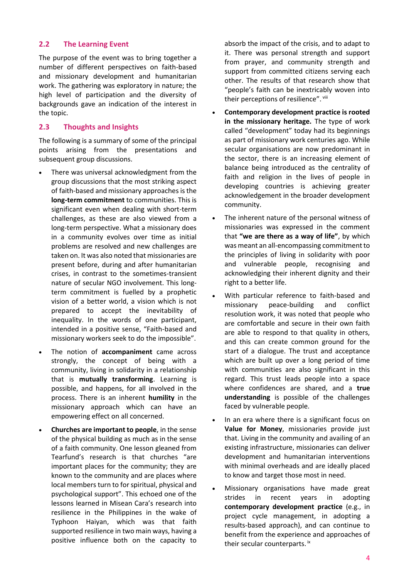#### **2.2 The Learning Event**

The purpose of the event was to bring together a number of different perspectives on faith-based and missionary development and humanitarian work. The gathering was exploratory in nature; the high level of participation and the diversity of backgrounds gave an indication of the interest in the topic.

#### **2.3 Thoughts and Insights**

The following is a summary of some of the principal points arising from the presentations and subsequent group discussions.

- There was universal acknowledgment from the group discussions that the most striking aspect of faith-based and missionary approaches is the **long-term commitment** to communities. This is significant even when dealing with short-term challenges, as these are also viewed from a long-term perspective. What a missionary does in a community evolves over time as initial problems are resolved and new challenges are taken on. It was also noted that missionaries are present before, during and after humanitarian crises, in contrast to the sometimes-transient nature of secular NGO involvement. This longterm commitment is fuelled by a prophetic vision of a better world, a vision which is not prepared to accept the inevitability of inequality. In the words of one participant, intended in a positive sense, "Faith-based and missionary workers seek to do the impossible".
- The notion of **accompaniment** came across strongly, the concept of being with a community, living in solidarity in a relationship that is **mutually transforming**. Learning is possible, and happens, for all involved in the process. There is an inherent **humility** in the missionary approach which can have an empowering effect on all concerned.
- **Churches are important to people**, in the sense of the physical building as much as in the sense of a faith community. One lesson gleaned from Tearfund's research is that churches "are important places for the community; they are known to the community and are places where local members turn to for spiritual, physical and psychological support". This echoed one of the lessons learned in Misean Cara's research into resilience in the Philippines in the wake of Typhoon Haiyan, which was that faith supported resilience in two main ways, having a positive influence both on the capacity to

absorb the impact of the crisis, and to adapt to it. There was personal strength and support from prayer, and community strength and support from committed citizens serving each other. The results of that research show that "people's faith can be inextricably woven into their perceptions of resilience". viii

- **Contemporary development practice is rooted in the missionary heritage.** The type of work called "development" today had its beginnings as part of missionary work centuries ago. While secular organisations are now predominant in the sector, there is an increasing element of balance being introduced as the centrality of faith and religion in the lives of people in developing countries is achieving greater acknowledgement in the broader development community.
- The inherent nature of the personal witness of missionaries was expressed in the comment that **"we are there as a way of life"**, by which was meant an all-encompassing commitment to the principles of living in solidarity with poor and vulnerable people, recognising and acknowledging their inherent dignity and their right to a better life.
- With particular reference to faith-based and missionary peace-building and conflict resolution work, it was noted that people who are comfortable and secure in their own faith are able to respond to that quality in others, and this can create common ground for the start of a dialogue. The trust and acceptance which are built up over a long period of time with communities are also significant in this regard. This trust leads people into a space where confidences are shared, and a **true understanding** is possible of the challenges faced by vulnerable people.
- In an era where there is a significant focus on **Value for Money**, missionaries provide just that. Living in the community and availing of an existing infrastructure, missionaries can deliver development and humanitarian interventions with minimal overheads and are ideally placed to know and target those most in need.
- Missionary organisations have made great strides in recent years in adopting **contemporary development practice** (e.g., in project cycle management, in adopting a results-based approach), and can continue to benefit from the experience and approaches of their secular counterparts. ix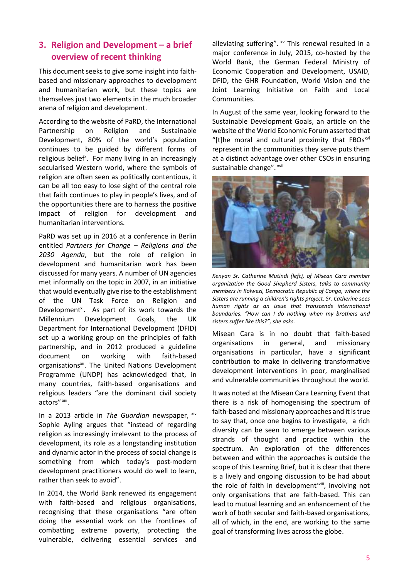## **3. Religion and Development – a brief overview of recent thinking**

This document seeks to give some insight into faithbased and missionary approaches to development and humanitarian work, but these topics are themselves just two elements in the much broader arena of religion and development.

According to the website of PaRD, the International Partnership on Religion and Sustainable Development, 80% of the world's population continues to be guided by different forms of religious belief<sup>x</sup>. For many living in an increasingly secularised Western world, where the symbols of religion are often seen as politically contentious, it can be all too easy to lose sight of the central role that faith continues to play in people's lives, and of the opportunities there are to harness the positive impact of religion for development and humanitarian interventions.

PaRD was set up in 2016 at a conference in Berlin entitled *Partners for Change – Religions and the 2030 Agenda*, but the role of religion in development and humanitarian work has been discussed for many years. A number of UN agencies met informally on the topic in 2007, in an initiative that would eventually give rise to the establishment of the UN Task Force on Religion and Development<sup>xi</sup>. As part of its work towards the Millennium Development Goals, the UK Department for International Development (DFID) set up a working group on the principles of faith partnership, and in 2012 produced a guideline document on working with faith-based organisations<sup>xii</sup>. The United Nations Development Programme (UNDP) has acknowledged that, in many countries, faith-based organisations and religious leaders "are the dominant civil society actors" xiii.

In a 2013 article in *The Guardian* newspaper, xiv Sophie Ayling argues that "instead of regarding religion as increasingly irrelevant to the process of development, its role as a longstanding institution and dynamic actor in the process of social change is something from which today's post-modern development practitioners would do well to learn, rather than seek to avoid".

In 2014, the World Bank renewed its engagement with faith-based and religious organisations, recognising that these organisations "are often doing the essential work on the frontlines of combatting extreme poverty, protecting the vulnerable, delivering essential services and

alleviating suffering".  $^{x}$  This renewal resulted in a major conference in July, 2015, co-hosted by the World Bank, the German Federal Ministry of Economic Cooperation and Development, USAID, DFID, the GHR Foundation, World Vision and the Joint Learning Initiative on Faith and Local Communities.

In August of the same year, looking forward to the Sustainable Development Goals, an article on the website of the World Economic Forum asserted that "[t]he moral and cultural proximity that FBOsxvi represent in the communities they serve puts them at a distinct advantage over other CSOs in ensuring sustainable change". xvii



*Kenyan Sr. Catherine Mutindi (left), of Misean Cara member organization the Good Shepherd Sisters, talks to community members in Kolwezi, Democratic Republic of Congo, where the Sisters are running a children's rights project. Sr. Catherine sees human rights as an issue that transcends international boundaries. "How can I do nothing when my brothers and sisters suffer like this?", she asks.*

Misean Cara is in no doubt that faith-based organisations in general, and missionary organisations in particular, have a significant contribution to make in delivering transformative development interventions in poor, marginalised and vulnerable communities throughout the world.

It was noted at the Misean Cara Learning Event that there is a risk of homogenising the spectrum of faith-based and missionary approaches and it is true to say that, once one begins to investigate, a rich diversity can be seen to emerge between various strands of thought and practice within the spectrum. An exploration of the differences between and within the approaches is outside the scope of this Learning Brief, but it is clear that there is a lively and ongoing discussion to be had about the role of faith in development<sup>xviii</sup>, involving not only organisations that are faith-based. This can lead to mutual learning and an enhancement of the work of both secular and faith-based organisations, all of which, in the end, are working to the same goal of transforming lives across the globe.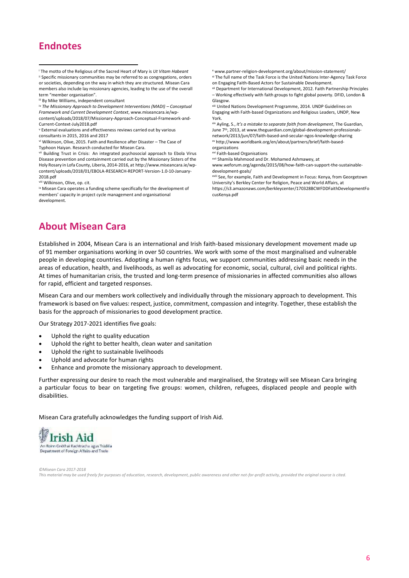## **Endnotes**

1

iii By Mike Williams, independent consultant

iv *The Missionary Approach to Development Interventions (MADI) – Conceptual Framework and Current Development Context*, [www.miseancara.ie/wp-](http://www.miseancara.ie/wp-content/uploads/2018/07/Missionary-Approach-Conceptual-Framework-and-Current-Context-July2018.pdf)

[content/uploads/2018/07/Missionary-Approach-Conceptual-Framework-and-](http://www.miseancara.ie/wp-content/uploads/2018/07/Missionary-Approach-Conceptual-Framework-and-Current-Context-July2018.pdf)[Current-Context-July2018.pdf](http://www.miseancara.ie/wp-content/uploads/2018/07/Missionary-Approach-Conceptual-Framework-and-Current-Context-July2018.pdf)

vi Wilkinson, Olive, 2015. Faith and Resilience after Disaster – The Case of Typhoon Haiyan. Research conducted for Misean Cara.

vii Building Trust in Crisis: An integrated psychosocial approach to Ebola Virus Disease prevention and containment carried out by the Missionary Sisters of the Holy Rosary in Lofa County, Liberia, 2014-2016, at http://www.miseancara.ie/wpcontent/uploads/2018/01/EBOLA-RESEARCH-REPORT-Version-1.0-10-January-2018.pdf

viii Wilkinson, Olive, op. cit.

ix Misean Cara operates a funding scheme specifically for the development of members' capacity in project cycle management and organisational development.

<sup>x</sup> [www.partner-religion-development.org/about/mission-statement/](http://www.partner-religion-development.org/about/mission-statement/)

xi The full name of the Task Force is the United Nations Inter-Agency Task Force on Engaging Faith-Based Actors for Sustainable Development.

xii Department for International Development, 2012. Faith Partnership Principles – Working effectively with faith groups to fight global poverty. DFID, London & Glasgow.

xiii United Nations Development Programme, 2014. UNDP Guidelines on Engaging with Faith-based Organizations and Religious Leaders, UNDP, New York.

xiv Ayling, S., *It's a mistake to separate faith from development*, The Guardian, June 7<sup>th</sup>, 2013, a[t www.theguardian.com/global-development-professionals](https://www.theguardian.com/global-development-professionals-network/2013/jun/07/faith-based-and-secular-ngos-knowledge-sharing)[network/2013/jun/07/faith-based-and-secular-ngos-knowledge-sharing](https://www.theguardian.com/global-development-professionals-network/2013/jun/07/faith-based-and-secular-ngos-knowledge-sharing) xv [http://www.worldbank.org/en/about/partners/brief/faith-based-](http://www.worldbank.org/en/about/partners/brief/faith-based-organizations)

[organizations](http://www.worldbank.org/en/about/partners/brief/faith-based-organizations) xvi Faith-based Organisations

xvii Shamila Mahmood and Dr. Mohamed Ashmawey, at

[www.weforum.org/agenda/2015/08/how-faith-can-support-the-sustainable](http://www.weforum.org/agenda/2015/08/how-faith-can-support-the-sustainable-development-goals/)[development-goals/](http://www.weforum.org/agenda/2015/08/how-faith-can-support-the-sustainable-development-goals/)

xviii See, for example, Faith and Development in Focus: Kenya, from Georgetown University's Berkley Center for Religion, Peace and World Affairs, at [https://s3.amazonaws.com/berkleycenter/170328BCWFDDFaithDevelopmentFo](https://s3.amazonaws.com/berkleycenter/170328BCWFDDFaithDevelopmentFocusKenya.pdf) [cusKenya.pdf](https://s3.amazonaws.com/berkleycenter/170328BCWFDDFaithDevelopmentFocusKenya.pdf)

## **About Misean Cara**

Established in 2004, Misean Cara is an international and Irish faith-based missionary development movement made up of 91 member organisations working in over 50 countries. We work with some of the most marginalised and vulnerable people in developing countries. Adopting a human rights focus, we support communities addressing basic needs in the areas of education, health, and livelihoods, as well as advocating for economic, social, cultural, civil and political rights. At times of humanitarian crisis, the trusted and long-term presence of missionaries in affected communities also allows for rapid, efficient and targeted responses.

Misean Cara and our members work collectively and individually through the missionary approach to development. This framework is based on five values: respect, justice, commitment, compassion and integrity. Together, these establish the basis for the approach of missionaries to good development practice.

Our Strategy 2017-2021 identifies five goals:

- Uphold the right to quality education
- Uphold the right to better health, clean water and sanitation
- Uphold the right to sustainable livelihoods
- Uphold and advocate for human rights
- Enhance and promote the missionary approach to development.

Further expressing our desire to reach the most vulnerable and marginalised, the Strategy will see Misean Cara bringing a particular focus to bear on targeting five groups: women, children, refugees, displaced people and people with disabilities.

Misean Cara gratefully acknowledges the funding support of Irish Aid.



*©Misean Cara 2017-2018 This material may be used freely for purposes of education, research, development, public awareness and other not-for-profit activity, provided the original source is cited.*

<sup>i</sup> The motto of the Religious of the Sacred Heart of Mary is *Ut Vitam Habeant* ii Specific missionary communities may be referred to as congregations, orders or societies, depending on the way in which they are structured. Misean Cara members also include lay missionary agencies, leading to the use of the overall term "member organisation".

<sup>v</sup> External evaluations and effectiveness reviews carried out by various consultants in 2015, 2016 and 2017